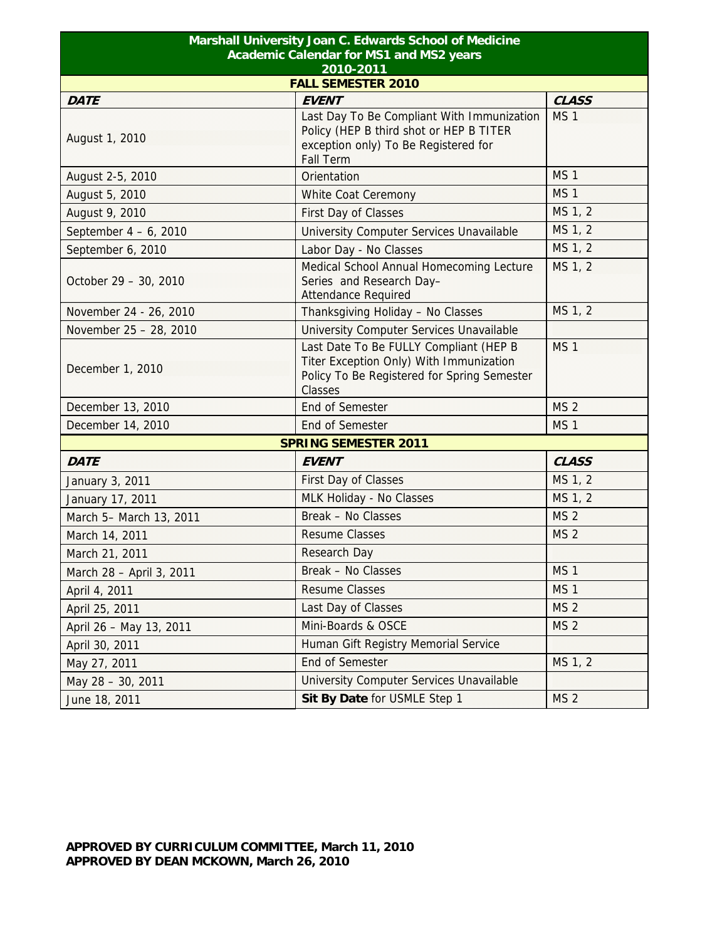| Marshall University Joan C. Edwards School of Medicine<br><b>Academic Calendar for MS1 and MS2 years</b><br>2010-2011 |                                                                                                                                               |                 |  |             |
|-----------------------------------------------------------------------------------------------------------------------|-----------------------------------------------------------------------------------------------------------------------------------------------|-----------------|--|-------------|
|                                                                                                                       |                                                                                                                                               |                 |  | <b>DATE</b> |
| August 1, 2010                                                                                                        | <b>EVENT</b><br>Last Day To Be Compliant With Immunization<br>Policy (HEP B third shot or HEP B TITER<br>exception only) To Be Registered for | MS <sub>1</sub> |  |             |
|                                                                                                                       | <b>Fall Term</b><br>Orientation                                                                                                               | MS <sub>1</sub> |  |             |
| August 2-5, 2010<br>August 5, 2010                                                                                    |                                                                                                                                               | <b>MS1</b>      |  |             |
|                                                                                                                       | White Coat Ceremony                                                                                                                           | MS 1, 2         |  |             |
| August 9, 2010                                                                                                        | First Day of Classes                                                                                                                          | MS 1, 2         |  |             |
| September $4 - 6$ , 2010                                                                                              | University Computer Services Unavailable                                                                                                      | MS 1, 2         |  |             |
| September 6, 2010<br>October 29 - 30, 2010                                                                            | Labor Day - No Classes<br>Medical School Annual Homecoming Lecture<br>Series and Research Day-<br><b>Attendance Required</b>                  | MS 1, 2         |  |             |
| November 24 - 26, 2010                                                                                                | Thanksgiving Holiday - No Classes                                                                                                             | MS 1, 2         |  |             |
| November 25 - 28, 2010                                                                                                | University Computer Services Unavailable                                                                                                      |                 |  |             |
| December 1, 2010                                                                                                      | Last Date To Be FULLY Compliant (HEP B<br>Titer Exception Only) With Immunization<br>Policy To Be Registered for Spring Semester<br>Classes   | MS <sub>1</sub> |  |             |
| December 13, 2010                                                                                                     | <b>End of Semester</b>                                                                                                                        | <b>MS 2</b>     |  |             |
| December 14, 2010                                                                                                     | <b>End of Semester</b>                                                                                                                        | MS <sub>1</sub> |  |             |
| <b>SPRING SEMESTER 2011</b>                                                                                           |                                                                                                                                               |                 |  |             |
| <b>DATE</b>                                                                                                           | <b>EVENT</b>                                                                                                                                  | <b>CLASS</b>    |  |             |
| January 3, 2011                                                                                                       | First Day of Classes                                                                                                                          | MS 1, 2         |  |             |
| January 17, 2011                                                                                                      | MLK Holiday - No Classes                                                                                                                      | MS 1, 2         |  |             |
| March 5- March 13, 2011                                                                                               | Break - No Classes                                                                                                                            | MS <sub>2</sub> |  |             |
| March 14, 2011                                                                                                        | <b>Resume Classes</b>                                                                                                                         | MS <sub>2</sub> |  |             |
| March 21, 2011                                                                                                        | <b>Research Day</b>                                                                                                                           |                 |  |             |
| March 28 - April 3, 2011                                                                                              | Break - No Classes                                                                                                                            | MS <sub>1</sub> |  |             |
| April 4, 2011                                                                                                         | <b>Resume Classes</b>                                                                                                                         | MS <sub>1</sub> |  |             |
| April 25, 2011                                                                                                        | Last Day of Classes                                                                                                                           | MS <sub>2</sub> |  |             |
| April 26 - May 13, 2011                                                                                               | Mini-Boards & OSCE                                                                                                                            | MS <sub>2</sub> |  |             |
| April 30, 2011                                                                                                        | Human Gift Registry Memorial Service                                                                                                          |                 |  |             |
| May 27, 2011                                                                                                          | End of Semester                                                                                                                               | MS 1, 2         |  |             |
| May 28 - 30, 2011                                                                                                     | University Computer Services Unavailable                                                                                                      |                 |  |             |
| June 18, 2011                                                                                                         | Sit By Date for USMLE Step 1                                                                                                                  | MS <sub>2</sub> |  |             |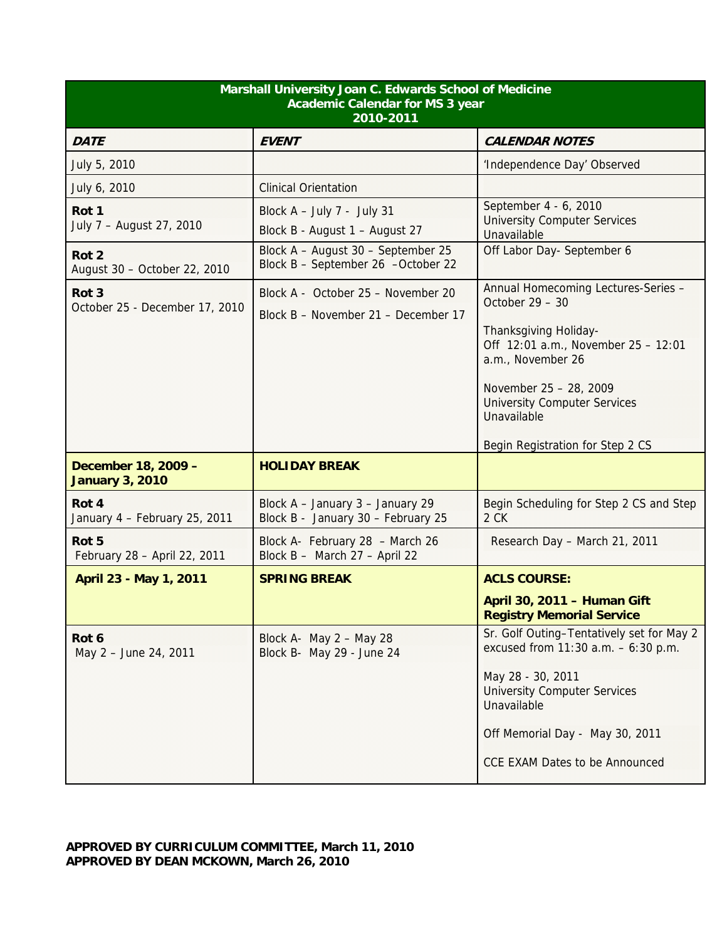| Marshall University Joan C. Edwards School of Medicine<br><b>Academic Calendar for MS 3 year</b><br>2010-2011 |                                                                           |                                                                                                                                                                                                                                            |  |
|---------------------------------------------------------------------------------------------------------------|---------------------------------------------------------------------------|--------------------------------------------------------------------------------------------------------------------------------------------------------------------------------------------------------------------------------------------|--|
| <b>DATE</b>                                                                                                   | <b>EVENT</b>                                                              | <b>CALENDAR NOTES</b>                                                                                                                                                                                                                      |  |
| July 5, 2010                                                                                                  |                                                                           | 'Independence Day' Observed                                                                                                                                                                                                                |  |
| July 6, 2010                                                                                                  | <b>Clinical Orientation</b>                                               |                                                                                                                                                                                                                                            |  |
| Rot 1<br>July 7 - August 27, 2010                                                                             | Block $A - July 7 - July 31$<br>Block B - August 1 - August 27            | September 4 - 6, 2010<br><b>University Computer Services</b><br>Unavailable                                                                                                                                                                |  |
| Rot <sub>2</sub><br>August 30 - October 22, 2010                                                              | Block A - August 30 - September 25<br>Block B - September 26 -October 22  | Off Labor Day- September 6                                                                                                                                                                                                                 |  |
| Rot <sub>3</sub><br>October 25 - December 17, 2010                                                            | Block A - October 25 - November 20<br>Block B - November 21 - December 17 | Annual Homecoming Lectures-Series -<br>October $29 - 30$<br>Thanksgiving Holiday-<br>Off 12:01 a.m., November 25 - 12:01<br>a.m., November 26<br>November 25 - 28, 2009                                                                    |  |
|                                                                                                               |                                                                           | <b>University Computer Services</b><br>Unavailable                                                                                                                                                                                         |  |
| December 18, 2009 -                                                                                           | <b>HOLIDAY BREAK</b>                                                      | Begin Registration for Step 2 CS                                                                                                                                                                                                           |  |
| <b>January 3, 2010</b>                                                                                        |                                                                           |                                                                                                                                                                                                                                            |  |
| Rot 4<br>January 4 - February 25, 2011                                                                        | Block A - January 3 - January 29<br>Block B - January 30 - February 25    | Begin Scheduling for Step 2 CS and Step<br>2 CK                                                                                                                                                                                            |  |
| Rot 5<br>February 28 - April 22, 2011                                                                         | Block A- February 28 - March 26<br>Block B - March 27 - April 22          | Research Day - March 21, 2011                                                                                                                                                                                                              |  |
| April 23 - May 1, 2011                                                                                        | <b>SPRING BREAK</b>                                                       | <b>ACLS COURSE:</b>                                                                                                                                                                                                                        |  |
|                                                                                                               |                                                                           | April 30, 2011 - Human Gift<br><b>Registry Memorial Service</b>                                                                                                                                                                            |  |
| Rot 6<br>May 2 - June 24, 2011                                                                                | Block A- May $2 -$ May 28<br>Block B- May 29 - June 24                    | Sr. Golf Outing-Tentatively set for May 2<br>excused from $11:30$ a.m. $-6:30$ p.m.<br>May 28 - 30, 2011<br><b>University Computer Services</b><br>Unavailable<br>Off Memorial Day - May 30, 2011<br><b>CCE EXAM Dates to be Announced</b> |  |